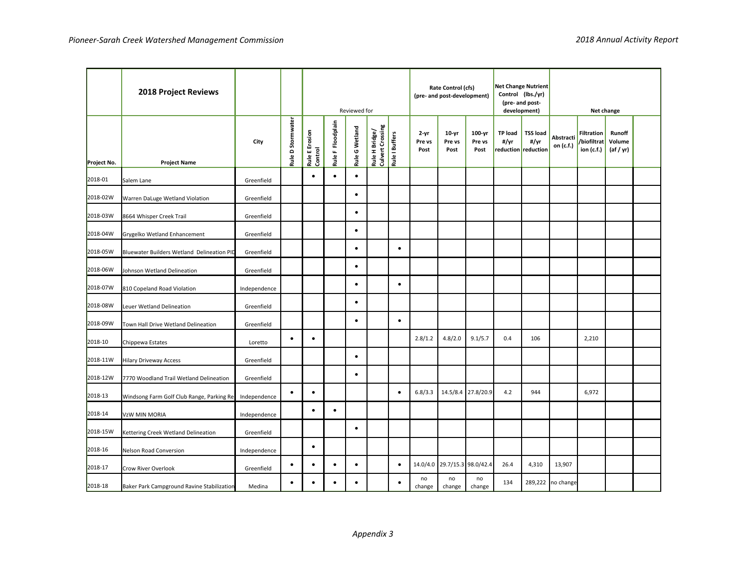|             | 2018 Project Reviews                       |              |                   | Reviewed for              |                   |                | Rate Control (cfs)<br>(pre- and post-development)    |           |                            | Net Change Nutrient<br>Control (lbs./yr)<br>(pre- and post-<br>development) |                          | Net change             |                                                |                        |                                                |                               |  |
|-------------|--------------------------------------------|--------------|-------------------|---------------------------|-------------------|----------------|------------------------------------------------------|-----------|----------------------------|-----------------------------------------------------------------------------|--------------------------|------------------------|------------------------------------------------|------------------------|------------------------------------------------|-------------------------------|--|
| Project No. | <b>Project Name</b>                        | City         | Rule D Stormwater | Rule E Erosion<br>Control | Rule F Floodplain | Rule G Wetland | Rule H Bridge/<br>Culvert Crossing<br>Rule I Buffers |           | $2 - yr$<br>Pre vs<br>Post | $10-yr$<br>Pre vs<br>Post                                                   | 100-yr<br>Pre vs<br>Post | <b>TP load</b><br>#/yr | <b>TSS load</b><br>#/yr<br>reduction reduction | Abstracti<br>on (c.f.) | <b>Filtration</b><br>/biofiltrat<br>ion (c.f.) | Runoff<br>Volume<br>(af / yr) |  |
| 2018-01     | Salem Lane                                 | Greenfield   |                   | $\bullet$                 | $\bullet$         | $\bullet$      |                                                      |           |                            |                                                                             |                          |                        |                                                |                        |                                                |                               |  |
| 2018-02W    | Warren DaLuge Wetland Violation            | Greenfield   |                   |                           |                   | $\bullet$      |                                                      |           |                            |                                                                             |                          |                        |                                                |                        |                                                |                               |  |
| 2018-03W    | 8664 Whisper Creek Trail                   | Greenfield   |                   |                           |                   | $\bullet$      |                                                      |           |                            |                                                                             |                          |                        |                                                |                        |                                                |                               |  |
| 2018-04W    | Grygelko Wetland Enhancement               | Greenfield   |                   |                           |                   | $\bullet$      |                                                      |           |                            |                                                                             |                          |                        |                                                |                        |                                                |                               |  |
| 2018-05W    | Bluewater Builders Wetland Delineation PID | Greenfield   |                   |                           |                   | $\bullet$      |                                                      | $\bullet$ |                            |                                                                             |                          |                        |                                                |                        |                                                |                               |  |
| 2018-06W    | Johnson Wetland Delineation                | Greenfield   |                   |                           |                   | $\bullet$      |                                                      |           |                            |                                                                             |                          |                        |                                                |                        |                                                |                               |  |
| 2018-07W    | 810 Copeland Road Violation                | Independence |                   |                           |                   | $\bullet$      |                                                      | $\bullet$ |                            |                                                                             |                          |                        |                                                |                        |                                                |                               |  |
| 2018-08W    | Leuer Wetland Delineation                  | Greenfield   |                   |                           |                   | $\bullet$      |                                                      |           |                            |                                                                             |                          |                        |                                                |                        |                                                |                               |  |
| 2018-09W    | Town Hall Drive Wetland Delineation        | Greenfield   |                   |                           |                   | $\bullet$      |                                                      | $\bullet$ |                            |                                                                             |                          |                        |                                                |                        |                                                |                               |  |
| 2018-10     | Chippewa Estates                           | Loretto      | $\bullet$         | $\bullet$                 |                   |                |                                                      |           | 2.8/1.2                    | 4.8/2.0                                                                     | 9.1/5.7                  | 0.4                    | 106                                            |                        | 2,210                                          |                               |  |
| 2018-11W    | <b>Hilary Driveway Access</b>              | Greenfield   |                   |                           |                   | $\bullet$      |                                                      |           |                            |                                                                             |                          |                        |                                                |                        |                                                |                               |  |
| 2018-12W    | 7770 Woodland Trail Wetland Delineation    | Greenfield   |                   |                           |                   | $\bullet$      |                                                      |           |                            |                                                                             |                          |                        |                                                |                        |                                                |                               |  |
| 2018-13     | Windsong Farm Golf Club Range, Parking Re  | Independence | $\bullet$         | $\bullet$                 |                   |                |                                                      | $\bullet$ | 6.8/3.3                    | 14.5/8.4                                                                    | 27.8/20.9                | 4.2                    | 944                                            |                        | 6,972                                          |                               |  |
| 2018-14     | VzW MIN MORIA                              | Independence |                   | $\bullet$                 | $\bullet$         |                |                                                      |           |                            |                                                                             |                          |                        |                                                |                        |                                                |                               |  |
| 2018-15W    | Kettering Creek Wetland Delineation        | Greenfield   |                   |                           |                   | $\bullet$      |                                                      |           |                            |                                                                             |                          |                        |                                                |                        |                                                |                               |  |
| 2018-16     | <b>Nelson Road Conversion</b>              | Independence |                   | $\bullet$                 |                   |                |                                                      |           |                            |                                                                             |                          |                        |                                                |                        |                                                |                               |  |
| 2018-17     | Crow River Overlook                        | Greenfield   | $\bullet$         | $\bullet$                 | $\bullet$         | $\bullet$      |                                                      | $\bullet$ |                            | 14.0/4.0 29.7/15.3 98.0/42.4                                                |                          | 26.4                   | 4,310                                          | 13,907                 |                                                |                               |  |
| 2018-18     | Baker Park Campground Ravine Stabilization | Medina       | $\bullet$         |                           | $\bullet$         | $\bullet$      |                                                      |           | no<br>change               | no<br>change                                                                | no<br>change             | 134                    |                                                | 289,222 no change      |                                                |                               |  |